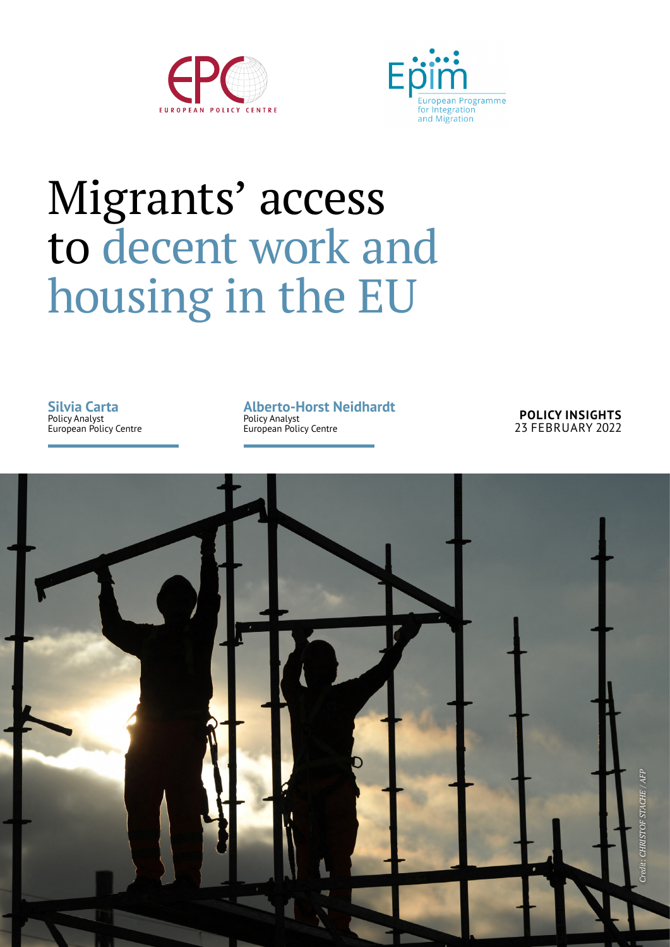



# Migrants' access to decent work and housing in the EU

**Silvia Carta** Policy Analyst European Policy Centre **Alberto-Horst Neidhardt** Policy Analyst European Policy Centre

**POLICY INSIGHTS** 23 FEBRUARY 2022

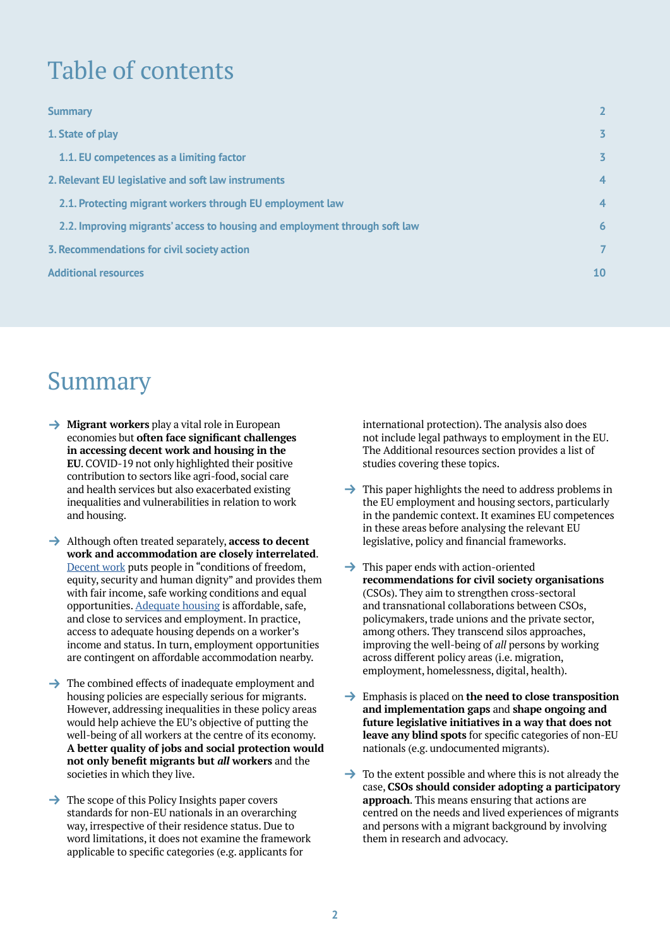# Table of contents

| <b>Summary</b>                                                             | $\overline{2}$ |
|----------------------------------------------------------------------------|----------------|
| 1. State of play                                                           | $\overline{3}$ |
| 1.1. EU competences as a limiting factor                                   | $\overline{3}$ |
| 2. Relevant EU legislative and soft law instruments                        | $\overline{4}$ |
| 2.1. Protecting migrant workers through EU employment law                  | $\overline{4}$ |
| 2.2. Improving migrants' access to housing and employment through soft law | 6              |
| 3. Recommendations for civil society action                                | $\overline{7}$ |
| <b>Additional resources</b>                                                | 10             |
|                                                                            |                |

# Summary

- **→ Migrant workers** play a vital role in European economies but **often face significant challenges in accessing decent work and housing in the EU**. COVID-19 not only highlighted their positive contribution to sectors like agri-food, social care and health services but also exacerbated existing inequalities and vulnerabilities in relation to work and housing.
- → Although often treated separately, **access to decent work and accommodation are closely interrelated**. [Decent work](https://ec.europa.eu/international-partnerships/topics/employment-and-decent-work_en) puts people in "conditions of freedom, equity, security and human dignity" and provides them with fair income, safe working conditions and equal opportunities. [Adequate housing](https://unhabitat.org/sites/default/files/download-manager-files/Right%20to%20adequate%20housing.pdf) is affordable, safe, and close to services and employment. In practice, access to adequate housing depends on a worker's income and status. In turn, employment opportunities are contingent on affordable accommodation nearby.
- $\rightarrow$  The combined effects of inadequate employment and housing policies are especially serious for migrants. However, addressing inequalities in these policy areas would help achieve the EU's objective of putting the well-being of all workers at the centre of its economy. **A better quality of jobs and social protection would not only benefit migrants but** *all* **workers** and the societies in which they live.
- $\rightarrow$  The scope of this Policy Insights paper covers standards for non-EU nationals in an overarching way, irrespective of their residence status. Due to word limitations, it does not examine the framework applicable to specific categories (e.g. applicants for

international protection). The analysis also does not include legal pathways to employment in the EU. The Additional resources section provides a list of studies covering these topics.

- $\rightarrow$  This paper highlights the need to address problems in the EU employment and housing sectors, particularly in the pandemic context. It examines EU competences in these areas before analysing the relevant EU legislative, policy and financial frameworks.
- $\rightarrow$  This paper ends with action-oriented **recommendations for civil society organisations**  (CSOs). They aim to strengthen cross-sectoral and transnational collaborations between CSOs, policymakers, trade unions and the private sector, among others. They transcend silos approaches, improving the well-being of *all* persons by working across different policy areas (i.e. migration, employment, homelessness, digital, health).
- → Emphasis is placed on **the need to close transposition and implementation gaps** and **shape ongoing and future legislative initiatives in a way that does not leave any blind spots** for specific categories of non-EU nationals (e.g. undocumented migrants).
- $\rightarrow$  To the extent possible and where this is not already the case, **CSOs should consider adopting a participatory approach**. This means ensuring that actions are centred on the needs and lived experiences of migrants and persons with a migrant background by involving them in research and advocacy.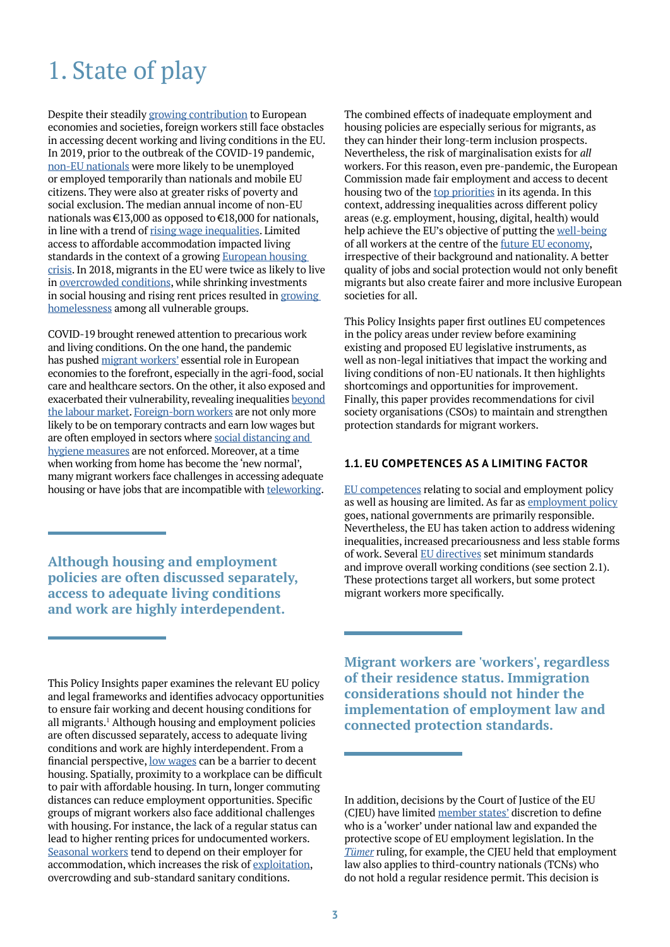## 1. State of play

Despite their steadily [growing contribution](https://news.un.org/en/story/2021/12/1108082) to European economies and societies, foreign workers still face obstacles in accessing decent working and living conditions in the EU. In 2019, prior to the outbreak of the COVID-19 pandemic, [non-EU nationals](https://ec.europa.eu/eurostat/web/products-statistical-books/-/ks-06-20-184) were more likely to be unemployed or employed temporarily than nationals and mobile EU citizens. They were also at greater risks of poverty and social exclusion. The median annual income of non-EU nationals was €13,000 as opposed to €18,000 for nationals, in line with a trend of [rising wage inequalities.](https://www.ilo.org/wcmsp5/groups/public/---ed_protect/---protrav/---migrant/documents/publication/wcms_763803.pdf) Limited access to affordable accommodation impacted living standards in the context of a growing [European housing](https://eurocities.eu/latest/housing-affordability-a-european-crisis/)  [crisis.](https://eurocities.eu/latest/housing-affordability-a-european-crisis/) In 2018, migrants in the EU were twice as likely to live in [overcrowded conditions,](https://ec.europa.eu/eurostat/statistics-explained/index.php?title=Migrant_integration_statistics_-_housing) while shrinking investments in social housing and rising rent prices resulted in [growing](https://www.feantsa.org/en/report/2021/05/12/the-6th-overview-of-housing-exclusion-in-europe-2021)  [homelessness](https://www.feantsa.org/en/report/2021/05/12/the-6th-overview-of-housing-exclusion-in-europe-2021) among all vulnerable groups.

COVID-19 brought renewed attention to precarious work and living conditions. On the one hand, the pandemic has pushed [migrant workers'](https://cadmus.eui.eu/handle/1814/68235) essential role in European economies to the forefront, especially in the agri-food, social care and healthcare sectors. On the other, it also exposed and exacerbated their vulnerability, revealing inequalities [beyond](https://www.thelancet.com/journals/lancet/article/PIIS0140-6736(20)32000-6/fulltext) [the labour market.](https://www.thelancet.com/journals/lancet/article/PIIS0140-6736(20)32000-6/fulltext) [Foreign-born workers](https://publications.jrc.ec.europa.eu/repository/handle/JRC120730) are not only more likely to be on temporary contracts and earn low wages but are often employed in sectors where [social distancing and](https://www.etuc.org/en/document/overlooked-migrant-workers-covid-19-crisis)  [hygiene measures](https://www.etuc.org/en/document/overlooked-migrant-workers-covid-19-crisis) are not enforced. Moreover, at a time when working from home has become the 'new normal', many migrant workers face challenges in accessing adequate housing or have jobs that are incompatible with [teleworking](https://blog.uantwerpen.be/sustainable-global-society/one-yea-covid-effects-on-undocumented-migrant-workers/).

**Although housing and employment policies are often discussed separately, access to adequate living conditions and work are highly interdependent.**

This Policy Insights paper examines the relevant EU policy and legal frameworks and identifies advocacy opportunities to ensure fair working and decent housing conditions for all migrants.1 Although housing and employment policies are often discussed separately, access to adequate living conditions and work are highly interdependent. From a financial perspective, [low wages](https://www.epc.eu/en/publications/Minimum-wage-and-the-EU-Happily-ever-after~33d394) can be a barrier to decent housing. Spatially, proximity to a workplace can be difficult to pair with affordable housing. In turn, longer commuting distances can reduce employment opportunities. Specific groups of migrant workers also face additional challenges with housing. For instance, the lack of a regular status can lead to higher renting prices for undocumented workers. [Seasonal workers](https://www.euronews.com/2020/07/17/invisible-workers-underpaid-exploited-and-put-at-risk-on-europe-s-farms) tend to depend on their employer for accommodation, which increases the risk of [exploitation](https://hrcak.srce.hr/ojs/index.php/eclic/article/view/18310), overcrowding and sub-standard sanitary conditions.

The combined effects of inadequate employment and housing policies are especially serious for migrants, as they can hinder their long-term inclusion prospects. Nevertheless, the risk of marginalisation exists for *all* workers. For this reason, even pre-pandemic, the European Commission made fair employment and access to decent housing two of the [top priorities](https://ec.europa.eu/info/research-and-innovation/research-area/industrial-research-and-innovation/future-work_en) in its agenda. In this context, addressing inequalities across different policy areas (e.g. employment, housing, digital, health) would help achieve the EU's objective of putting the [well-being](https://www.epc.eu/en/Publications/The-recovery-triangle-must-include-social-investment-if-it-is-to-succe~3a7e9c) of all workers at the centre of the [future EU economy,](https://www.epc.eu/en/publications/The-future-of-work-Towards-a-progressive-agenda-for-all~2d8840) irrespective of their background and nationality. A better quality of jobs and social protection would not only benefit migrants but also create fairer and more inclusive European societies for all.

This Policy Insights paper first outlines EU competences in the policy areas under review before examining existing and proposed EU legislative instruments, as well as non-legal initiatives that impact the working and living conditions of non-EU nationals. It then highlights shortcomings and opportunities for improvement. Finally, this paper provides recommendations for civil society organisations (CSOs) to maintain and strengthen protection standards for migrant workers.

### **1.1. EU COMPETENCES AS A LIMITING FACTOR**

[EU competences](https://op.europa.eu/en/publication-detail/-/publication/f0e07f04-ce2e-11e5-a4b5-01aa75ed71a1/language-en) relating to social and employment policy as well as housing are limited. As far as [employment policy](https://www.europarl.europa.eu/factsheets/en/sheet/54/employment-policy) goes, national governments are primarily responsible. Nevertheless, the EU has taken action to address widening inequalities, increased precariousness and less stable forms of work. Several [EU directives](https://european-union.europa.eu/institutions-law-budget/law/types-legislation_en) set minimum standards and improve overall working conditions (see section 2.1). These protections target all workers, but some protect migrant workers more specifically.

**Migrant workers are 'workers', regardless of their residence status. Immigration considerations should not hinder the implementation of employment law and connected protection standards.**

In addition, decisions by the Court of Justice of the EU (CJEU) have limited [member states'](https://www.coleurope.eu/research-paper/towards-european-pillar-social-rights-upgrading-eu-social-acquis) discretion to define who is a 'worker' under national law and expanded the protective scope of EU employment legislation. In the *Tümer* ruling, for example, the CJEU held that employment law also applies to third-country nationals (TCNs) who do not hold a regular residence permit. This decision is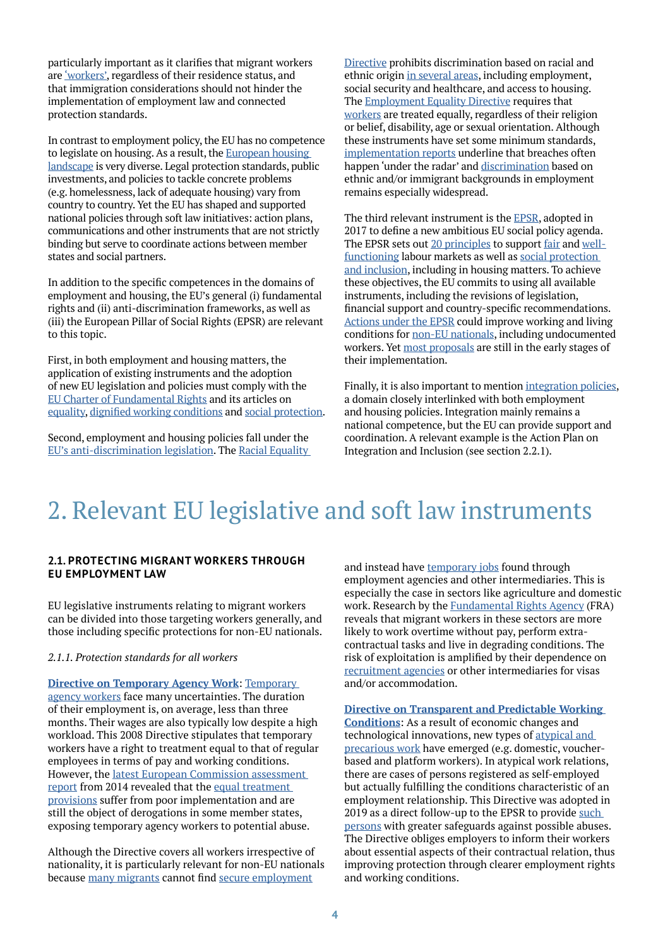particularly important as it clarifies that migrant workers are ['workers',](https://picum.org/aworkerisaworker/) regardless of their residence status, and that immigration considerations should not hinder the implementation of employment law and connected protection standards.

In contrast to employment policy, the EU has no competence to legislate on housing. As a result, the [European housing](https://www.cidob.org/es/publicaciones/serie_de_publicacion/cidob_briefings/promoting_the_right_to_housing_at_eu_level)  [landscape](https://www.cidob.org/es/publicaciones/serie_de_publicacion/cidob_briefings/promoting_the_right_to_housing_at_eu_level) is very diverse. Legal protection standards, public investments, and policies to tackle concrete problems (e.g. homelessness, lack of adequate housing) vary from country to country. Yet the EU has shaped and supported national policies through soft law initiatives: action plans, communications and other instruments that are not strictly binding but serve to coordinate actions between member states and social partners.

In addition to the specific competences in the domains of employment and housing, the EU's general (i) fundamental rights and (ii) anti-discrimination frameworks, as well as (iii) the European Pillar of Social Rights (EPSR) are relevant to this topic.

First, in both employment and housing matters, the application of existing instruments and the adoption of new EU legislation and policies must comply with the [EU Charter of Fundamental Rights](https://fra.europa.eu/en/publication/2018/applying-charter-fundamental-rights-european-union-law-and-policymaking-national) and its articles on [equality](https://cadmus.eui.eu/handle/1814/71418), [dignified working conditions](https://fra.europa.eu/en/eu-charter/article/31-fair-and-just-working-conditions) and [social protection.](https://fra.europa.eu/en/eu-charter/article/34-social-security-and-social-assistance)

Second, employment and housing policies fall under the [EU's anti-discrimination legislation.](https://fra.europa.eu/en/publication/2018/handbook-european-non-discrimination-law-2018-edition) The [Racial Equality](https://eur-lex.europa.eu/legal-content/EN/TXT/?uri=celex%3A32000L0043)  [Directive](https://eur-lex.europa.eu/legal-content/EN/TXT/?uri=celex%3A32000L0043) prohibits discrimination based on racial and ethnic origin [in several areas](https://www.euractiv.com/section/non-discrimination/news/handbook-on-the-racial-equality-directive/), including employment, social security and healthcare, and access to housing. The **Employment Equality Directive requires that** [workers](https://www.europarl.europa.eu/thinktank/en/document/EPRS_STU(2016)536346) are treated equally, regardless of their religion or belief, disability, age or sexual orientation. Although these instruments have set some minimum standards, [implementation reports](https://eur-lex.europa.eu/legal-content/EN/ALL/?uri=COM:2021:139:FIN) underline that breaches often happen 'under the radar' and [discrimination](https://fra.europa.eu/en/publication/2017/second-european-union-minorities-and-discrimination-survey-main-results) based on ethnic and/or immigrant backgrounds in employment remains especially widespread.

The third relevant instrument is the [EPSR](https://ec.europa.eu/info/european-pillar-social-rights_en), adopted in 2017 to define a new ambitious EU social policy agenda. The EPSR sets out [20 principles](https://ec.europa.eu/commission/priorities/deeper-and-fairer-economic-and-monetary-union/european-pillar-social-rights/european-pillar-social-rights-20-principles_en) to support [fair](https://ec.europa.eu/social/main.jsp?catId=706&langId=en) and [well](https://ec.europa.eu/social/main.jsp?langId=en&catId=82)[functioning](https://ec.europa.eu/social/main.jsp?langId=en&catId=82) labour markets as well as [social protection](https://ec.europa.eu/social/main.jsp?catId=1063&langId=en)  [and inclusion](https://ec.europa.eu/social/main.jsp?catId=1063&langId=en), including in housing matters. To achieve these objectives, the EU commits to using all available instruments, including the revisions of legislation, financial support and country-specific recommendations. [Actions under the EPSR](https://www.cambridge.org/core/journals/cambridge-yearbook-of-european-legal-studies/article/abs/european-pillar-of-social-rights-an-assessment-of-its-meaning-and-significance/BC9A7E7D0A8CD7915B744DA745ACC242) could improve working and living conditions for [non-EU nationals](https://picum.org/wp-content/uploads/2021/05/Action-Plan-on-EPSR_PICUM.pdf), including undocumented workers. Yet [most proposals](https://www.solidar.org/en/publications/briefing-paper-93-implementing-the-european-pillar-of-social-rights) are still in the early stages of their implementation.

Finally, it is also important to mention [integration policies,](https://op.europa.eu/en/publication-detail/-/publication/f0e07f04-ce2e-11e5-a4b5-01aa75ed71a1/language-en) a domain closely interlinked with both employment and housing policies. Integration mainly remains a national competence, but the EU can provide support and coordination. A relevant example is the Action Plan on Integration and Inclusion (see section 2.2.1).

# 2. Relevant EU legislative and soft law instruments

### **2.1. PROTECTING MIGRANT WORKERS THROUGH EU EMPLOYMENT LAW**

EU legislative instruments relating to migrant workers can be divided into those targeting workers generally, and those including specific protections for non-EU nationals.

#### *2.1.1. Protection standards for all workers*

**[Directive on Temporary Agency Work](https://eur-lex.europa.eu/legal-content/EN/ALL/?uri=celex%3A32008L0104)**: [Temporary](https://www.ilo.org/wcmsp5/groups/public/---ed_dialogue/---ed_dialogue_msu/documents/publication/wcms_541655.pdf)  [agency workers](https://www.ilo.org/wcmsp5/groups/public/---ed_dialogue/---ed_dialogue_msu/documents/publication/wcms_541655.pdf) face many uncertainties. The duration of their employment is, on average, less than three months. Their wages are also typically low despite a high workload. This 2008 Directive stipulates that temporary workers have a right to treatment equal to that of regular employees in terms of pay and working conditions. However, the [latest European Commission assessment](https://www.consilium.europa.eu/en/documents-publications/public-register/public-register-search/results/?AllLanguagesSearch=False&OnlyPublicDocuments=False&DocumentNumber=8140%2F14%7C8140%2F*%2F14&DocumentLanguage=FR)  [report](https://www.consilium.europa.eu/en/documents-publications/public-register/public-register-search/results/?AllLanguagesSearch=False&OnlyPublicDocuments=False&DocumentNumber=8140%2F14%7C8140%2F*%2F14&DocumentLanguage=FR) from 2014 revealed that the [equal treatment](https://fra.europa.eu/en/content/protecting-migrant-workers-exploitation-fra-opinions)  [provisions](https://fra.europa.eu/en/content/protecting-migrant-workers-exploitation-fra-opinions) suffer from poor implementation and are still the object of derogations in some member states, exposing temporary agency workers to potential abuse.

Although the Directive covers all workers irrespective of nationality, it is particularly relevant for non-EU nationals because [many migrants](https://ec.europa.eu/eurostat/statistics-explained/index.php?title=Migrant_integration_statistics_-_employment_conditions#Temporary_employment) cannot find [secure employment](https://journals.sagepub.com/doi/full/10.1177/1024258916634620)

and instead have [temporary jobs](https://www.infomigrants.net/en/post/15797/agency-work-the-pros-and-cons-for-migrants) found through employment agencies and other intermediaries. This is especially the case in sectors like agriculture and domestic work. Research by the [Fundamental Rights Agency](https://fra.europa.eu/en/content/protecting-migrant-workers-exploitation-fra-opinions) (FRA) reveals that migrant workers in these sectors are more likely to work overtime without pay, perform extracontractual tasks and live in degrading conditions. The risk of exploitation is amplified by their dependence on [recruitment agencies](https://www.etuc.org/en/document/etuc-resolution-fair-labour-mobility-and-migration) or other intermediaries for visas and/or accommodation.

**[Directive on Transparent and Predictable Working](https://eur-lex.europa.eu/legal-content/EN/TXT/?uri=CELEX:32019L1152)  [Conditions](https://eur-lex.europa.eu/legal-content/EN/TXT/?uri=CELEX:32019L1152)**: As a result of economic changes and technological innovations, new types of [atypical and](https://ec.europa.eu/social/BlobServlet?docId=20696&langId=en)  [precarious work](https://ec.europa.eu/social/BlobServlet?docId=20696&langId=en) have emerged (e.g. domestic, voucherbased and platform workers). In atypical work relations, there are cases of persons registered as self-employed but actually fulfilling the conditions characteristic of an employment relationship. This Directive was adopted in 2019 as a direct follow-up to the EPSR to provide such [persons](https://socialeurope.eu/better-working-conditions-more-predictable-work-the-new-eu-directive) with greater safeguards against possible abuses. The Directive obliges employers to inform their workers about essential aspects of their contractual relation, thus improving protection through clearer employment rights and working conditions.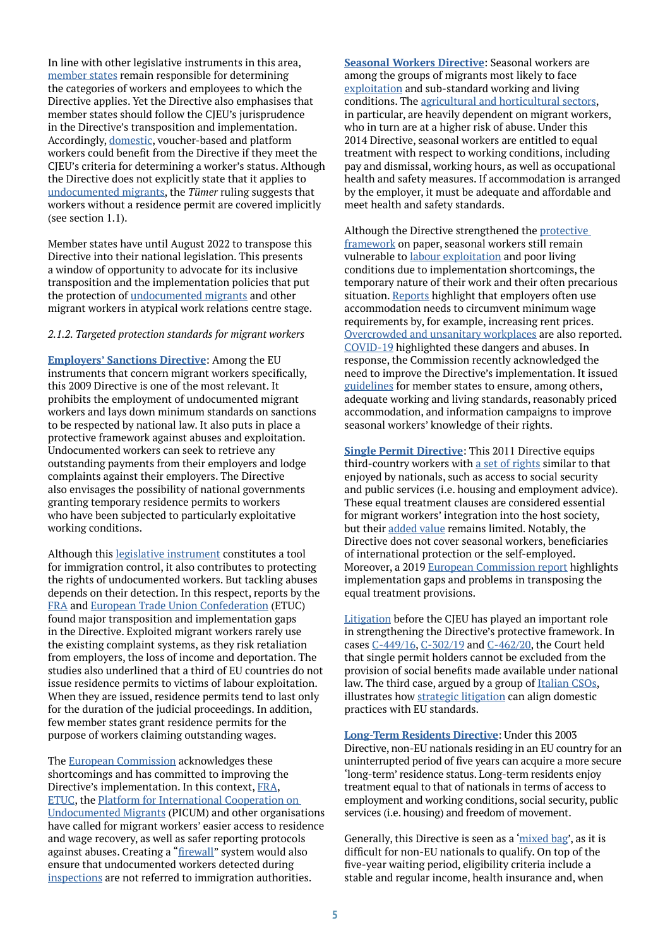In line with other legislative instruments in this area, [member states](https://journals.sagepub.com/doi/full/10.1177/09596801211043717) remain responsible for determining the categories of workers and employees to which the Directive applies. Yet the Directive also emphasises that member states should follow the CJEU's jurisprudence in the Directive's transposition and implementation. Accordingly, [domestic,](https://www.europarl.europa.eu/thinktank/en/document/IPOL_ATA(2021)695477) voucher-based and platform workers could benefit from the Directive if they meet the CJEU's criteria for determining a worker's status. Although the Directive does not explicitly state that it applies to [undocumented migrants](https://picum.org/wp-content/uploads/2020/03/A-Worker-is-a-Worker-full-doc.pdf), the *Tümer* ruling suggests that workers without a residence permit are covered implicitly (see section 1.1).

Member states have until August 2022 to transpose this Directive into their national legislation. This presents a window of opportunity to advocate for its inclusive transposition and the implementation policies that put the protection of [undocumented migrants](https://picum.org/why-the-european-labour-authority-alone-will-fail-to-enforce-eu-rules-on-labour-mobility/) and other migrant workers in atypical work relations centre stage.

#### *2.1.2. Targeted protection standards for migrant workers*

**[Employers' Sanctions Directive](https://eur-lex.europa.eu/legal-content/EN/ALL/?uri=celex%3A32009L0052)**: Among the EU instruments that concern migrant workers specifically, this 2009 Directive is one of the most relevant. It prohibits the employment of undocumented migrant workers and lays down minimum standards on sanctions to be respected by national law. It also puts in place a protective framework against abuses and exploitation. Undocumented workers can seek to retrieve any outstanding payments from their employers and lodge complaints against their employers. The Directive also envisages the possibility of national governments granting temporary residence permits to workers who have been subjected to particularly exploitative working conditions.

Although this [legislative instrument](https://www.jstor.org/stable/j.ctv6hp34j) constitutes a tool for immigration control, it also contributes to protecting the rights of undocumented workers. But tackling abuses depends on their detection. In this respect, reports by the [FRA](https://fra.europa.eu/en/publication/2021/employers-sanctions-against-exploitation) and [European Trade Union Confederation](https://www.etuc.org/en/document/etuc-position-implementation-employers-sanctions-directive) (ETUC) found major transposition and implementation gaps in the Directive. Exploited migrant workers rarely use the existing complaint systems, as they risk retaliation from employers, the loss of income and deportation. The studies also underlined that a third of EU countries do not issue residence permits to victims of labour exploitation. When they are issued, residence permits tend to last only for the duration of the judicial proceedings. In addition, few member states grant residence permits for the purpose of workers claiming outstanding wages.

The [European Commission](https://ec.europa.eu/home-affairs/minimum-standards-sanctions-and-measures-against-employers-illegally-staying-third-country_en) acknowledges these shortcomings and has committed to improving the Directive's implementation. In this context, [FRA](https://fra.europa.eu/en/publication/2021/employers-sanctions-against-exploitation), [ETUC](https://www.etuc.org/en/document/etuc-position-implementation-employers-sanctions-directive), the [Platform for International Cooperation on](https://picum.org/employers-sanctions-will-the-eu-finally-take-steps-to-protect-migrant-workers/)  [Undocumented Migrants](https://picum.org/employers-sanctions-will-the-eu-finally-take-steps-to-protect-migrant-workers/) (PICUM) and other organisations have called for migrant workers' easier access to residence and wage recovery, as well as safer reporting protocols against abuses. Creating a "[firewall](https://picum.org/wp-content/uploads/2019/04/Labour_FIREWALL_ENG-WEB-1.pdf)" system would also ensure that undocumented workers detected during [inspections](https://picum.org/wp-content/uploads/2021/06/PICUM-Inputs-Consultation-ESD_June-2021.pdf) are not referred to immigration authorities.

**[Seasonal Workers Directive](https://eur-lex.europa.eu/legal-content/EN/TXT/HTML/?uri=CELEX:32014L0036&from=en)**: Seasonal workers are among the groups of migrants most likely to face [exploitation](https://www.europarl.europa.eu/thinktank/en/document.html?reference=EPRS_BRI(2021)689347) and sub-standard working and living conditions. The [agricultural and horticultural sectors,](https://www.iom.int/resources/covid-19-policies-and-impact-seasonal-agricultural-workers) in particular, are heavily dependent on migrant workers, who in turn are at a higher risk of abuse. Under this 2014 Directive, seasonal workers are entitled to equal treatment with respect to working conditions, including pay and dismissal, working hours, as well as occupational health and safety measures. If accommodation is arranged by the employer, it must be adequate and affordable and meet health and safety standards.

Although the Directive strengthened the [protective](http://eulawanalysis.blogspot.com/2015/02/ending-exploitation-of-seasonal-workers.html)  [framework](http://eulawanalysis.blogspot.com/2015/02/ending-exploitation-of-seasonal-workers.html) on paper, seasonal workers still remain vulnerable to [labour exploitation](https://emnluxembourg.uni.lu/synthesis-report-attracting-and-protecting-the-rights-of-seasonal-workers-in-the-eu-and-united-kingdom/) and poor living conditions due to implementation shortcomings, the temporary nature of their work and their often precarious situation. [Reports](https://www.faire-mobilitaet.de/++co++5897bf94-2518-11eb-b61a-001a4a160123) highlight that employers often use accommodation needs to circumvent minimum wage requirements by, for example, increasing rent prices. [Overcrowded and unsanitary workplaces](https://effat.org/wp-content/uploads/2020/06/EFFAT-Report-Covid-19-outbreaks-in-slaughterhouses-and-meat-packing-plants-State-of-affairs-and-proposals-for-policy-action-at-EU-level-30.06.2020.pdf) are also reported. [COVID-19](https://www.euractiv.com/section/agriculture-food/news/seasonal-farm-workers-in-germany-exposed-to-massive-labour-rights-violations/) highlighted these dangers and abuses. In response, the Commission recently acknowledged the need to improve the Directive's implementation. It issued [guidelines](https://eur-lex.europa.eu/legal-content/EN/TXT/?uri=CELEX:52020XC0717(04)) for member states to ensure, among others, adequate working and living standards, reasonably priced accommodation, and information campaigns to improve seasonal workers' knowledge of their rights.

**[Single Permit Directive](https://eur-lex.europa.eu/legal-content/EN/ALL/?uri=CELEX%3A32011L0098)**: This 2011 Directive equips third-country workers with [a set of rights](https://link.springer.com/article/10.1007/s12027-015-0403-2) similar to that enjoyed by nationals, such as access to social security and public services (i.e. housing and employment advice). These equal treatment clauses are considered essential for migrant workers' integration into the host society, but their [added value](https://link.springer.com/article/10.1007/s12027-015-0403-2) remains limited. Notably, the Directive does not cover seasonal workers, beneficiaries of international protection or the self-employed. Moreover, a 2019 [European Commission report](https://eur-lex.europa.eu/legal-content/EN/TXT/HTML/?uri=CELEX:52019DC0160&from=EN) highlights implementation gaps and problems in transposing the equal treatment provisions.

[Litigation](https://www.epc.eu/en/publications/The-EUs-legal-migration-acquis-Patching-up-the-patchwork~3cad34) before the CJEU has played an important role in strengthening the Directive's protective framework. In cases [C-449/16](https://curia.europa.eu/juris/document/document.jsf?text=&docid=192044&pageIndex=0&doclang=en&mode=lst&dir=&occ=first&part=1&cid=4144631), [C-302/19](https://curia.europa.eu/juris/document/document.jsf?text=&docid=234325&pageIndex=0&doclang=en&mode=lst&dir=&occ=first&part=1&cid=4144726) and [C-462/20,](https://curia.europa.eu/juris/document/document.jsf?text=&docid=248292&pageIndex=0&doclang=en&mode=lst&dir=&occ=first&part=1&cid=4146294) the Court held that single permit holders cannot be excluded from the provision of social benefits made available under national law. The third case, argued by a group of [Italian CSOs](https://www.asgi.it/discriminazioni/carta-famiglia-lesclusione-dei-cittadini-stranieri-e-contraria-al-diritto-dellunione-europea/), illustrates how [strategic litigation](https://www.hfhr.pl/wp-content/uploads/2019/02/broszura-TSUE-EN-web.pdf) can align domestic practices with EU standards.

**[Long-Term Residents Directive](https://eur-lex.europa.eu/legal-content/en/ALL/?uri=CELEX%3A32003L0109)**: Under this 2003 Directive, non-EU nationals residing in an EU country for an uninterrupted period of five years can acquire a more secure 'long-term' residence status. Long-term residents enjoy treatment equal to that of nationals in terms of access to employment and working conditions, social security, public services (i.e. housing) and freedom of movement.

Generally, this Directive is seen as a '[mixed bag'](https://kluwerlawonline.com/journalarticle/Common+Market+Law+Review/42.4/COLA2005034), as it is difficult for non-EU nationals to qualify. On top of the five-year waiting period, eligibility criteria include a stable and regular income, health insurance and, when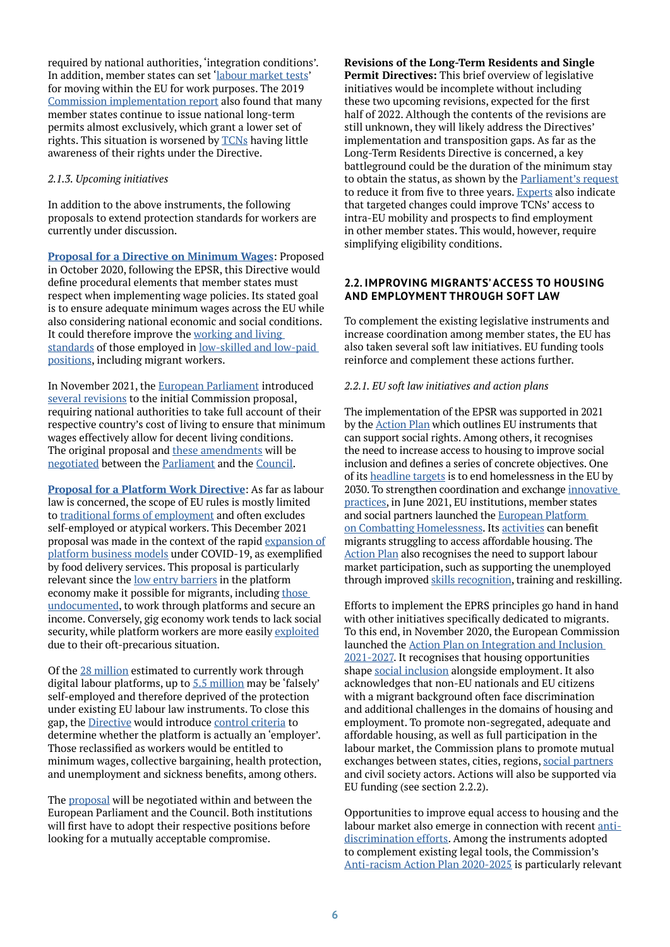required by national authorities, 'integration conditions'. In addition, member states can set ['labour market tests](https://emnbelgium.be/publication/long-term-resident-status-eu-emn-inform)' for moving within the EU for work purposes. The 2019 [Commission implementation report](https://eur-lex.europa.eu/legal-content/EN/TXT/?qid=1567066138127&uri=CELEX:52019DC0161) also found that many member states continue to issue national long-term permits almost exclusively, which grant a lower set of rights. This situation is worsened by [TCNs](https://ec.europa.eu/home-affairs/system/files/2019-03/swd_2019-1056-executive-summary_en.pdf) having little awareness of their rights under the Directive.

### *2.1.3. Upcoming initiatives*

In addition to the above instruments, the following proposals to extend protection standards for workers are currently under discussion.

**[Proposal for a Directive on Minimum Wages](https://eur-lex.europa.eu/legal-content/EN/TXT/?uri=CELEX%3A52020PC0682)**: Proposed in October 2020, following the EPSR, this Directive would define procedural elements that member states must respect when implementing wage policies. Its stated goal is to ensure adequate minimum wages across the EU while also considering national economic and social conditions. It could therefore improve the [working and living](https://www.epc.eu/en/publications/Minimum-wage-and-the-EU-Happily-ever-after~33d394)  [standards](https://www.epc.eu/en/publications/Minimum-wage-and-the-EU-Happily-ever-after~33d394) of those employed in [low-skilled and low-paid](http://eulawanalysis.blogspot.com/2020/11/the-proposal-on-adequate-minimum-wages.html)  [positions,](http://eulawanalysis.blogspot.com/2020/11/the-proposal-on-adequate-minimum-wages.html) including migrant workers.

In November 2021, the [European Parliament](https://www.europarl.europa.eu/doceo/document/A-9-2021-0325_EN.html) introduced [several revisions](https://www.europarl.europa.eu/news/en/press-room/20211107IPR16808/new-rules-for-fair-minimum-wages-in-the-eu) to the initial Commission proposal, requiring national authorities to take full account of their respective country's cost of living to ensure that minimum wages effectively allow for decent living conditions. The original proposal and [these amendments](https://socialeurope.eu/more-ambitious-european-minimum-wages-directive-demanded) will be [negotiated](https://euobserver.com/democracy/153735) between the [Parliament](https://www.europarl.europa.eu/news/en/press-room/20211119IPR17718/minimum-wage-green-light-to-start-negotiations-with-council) and the [Council](https://www.consilium.europa.eu/en/meetings/epsco/2021/12/06-07/).

**[Proposal for a Platform Work Directive](https://eur-lex.europa.eu/legal-content/EN/TXT/?uri=CELEX%3A52021PC0762)**: As far as labour law is concerned, the scope of EU rules is mostly limited to [traditional forms of employment](https://www.etui.org/publications/reports/the-concept-of-worker-in-eu-law-status-quo-and-potential-for-change) and often excludes self-employed or atypical workers. This December 2021 proposal was made in the context of the rapid [expansion of](https://publications.jrc.ec.europa.eu/repository/handle/JRC112157) [platform business models](https://publications.jrc.ec.europa.eu/repository/handle/JRC112157) under COVID-19, as exemplified by food delivery services. This proposal is particularly relevant since the [low entry barriers](https://www.etuc.org/en/document/etuc-reply-second-phase-consultation-social-partners-under-article-154-tfeu-possible) in the platform economy make it possible for migrants, including [those](https://picum.org/aworkerisaworker/)  [undocumented,](https://picum.org/aworkerisaworker/) to work through platforms and secure an income. Conversely, gig economy work tends to lack social security, while platform workers are more easily [exploited](https://journals.sagepub.com/doi/full/10.1177/0308518X211054846) due to their oft-precarious situation.

Of the [28 million](https://eur-lex.europa.eu/legal-content/EN/TXT/?uri=COM%3A2021%3A761%3AFIN) estimated to currently work through digital labour platforms, up to [5.5 million](https://ec.europa.eu/transparency/documents-register/detail?ref=SWD(2021)396&lang=en) may be 'falsely' self-employed and therefore deprived of the protection under existing EU labour law instruments. To close this gap, the [Directive](https://ec.europa.eu/commission/presscorner/detail/en/qanda_21_6606) would introduce [control criteria](https://www.epc.eu/en/publications/Solving-misclassification-will-not-be-enough-to-improve-working-condit~40b08c) to determine whether the platform is actually an 'employer'. Those reclassified as workers would be entitled to minimum wages, collective bargaining, health protection, and unemployment and sickness benefits, among others.

The [proposal](https://oeil.secure.europarl.europa.eu/oeil/popups/ficheprocedure.do?lang=en&reference=2021/0414(OLP)) will be negotiated within and between the European Parliament and the Council. Both institutions will first have to adopt their respective positions before looking for a mutually acceptable compromise.

**Revisions of the Long-Term Residents and Single Permit Directives:** This brief overview of legislative initiatives would be incomplete without including these two upcoming revisions, expected for the first half of 2022. Although the contents of the revisions are still unknown, they will likely address the Directives' implementation and transposition gaps. As far as the Long-Term Residents Directive is concerned, a key battleground could be the duration of the minimum stay to obtain the status, as shown by the [Parliament's request](https://www.europarl.europa.eu/doceo/document/TA-9-2021-0472_EN.html) to reduce it from five to three years. [Experts](https://www.epc.eu/en/publications/The-EUs-legal-migration-acquis-Patching-up-the-patchwork~3cad34) also indicate that targeted changes could improve TCNs' access to intra-EU mobility and prospects to find employment in other member states. This would, however, require simplifying eligibility conditions.

### **2.2. IMPROVING MIGRANTS' ACCESS TO HOUSING AND EMPLOYMENT THROUGH SOFT LAW**

To complement the existing legislative instruments and increase coordination among member states, the EU has also taken several soft law initiatives. EU funding tools reinforce and complement these actions further.

### *2.2.1. EU soft law initiatives and action plans*

The implementation of the EPSR was supported in 2021 by the [Action Plan](https://ec.europa.eu/info/strategy/priorities-2019-2024/economy-works-people/jobs-growth-and-investment/european-pillar-social-rights/european-pillar-social-rights-action-plan_en) which outlines EU instruments that can support social rights. Among others, it recognises the need to increase access to housing to improve social inclusion and defines a series of concrete objectives. One of its [headline targets](https://op.europa.eu/webpub/empl/european-pillar-of-social-rights/en/) is to end homelessness in the EU by 2030. To strengthen coordination and exchange [innovative](https://officialblogofunio.com/2021/09/13/what-to-expect-from-the-european-platform-on-combating-homelessness/)  [practices](https://officialblogofunio.com/2021/09/13/what-to-expect-from-the-european-platform-on-combating-homelessness/), in June 2021, EU institutions, member states and social partners launched the **European Platform** [on Combatting Homelessness.](https://ec.europa.eu/commission/presscorner/detail/en/IP_21_3044) Its [activities](https://twitter.com/RuthSOwen1/status/1465634453582188547?s=20) can benefit migrants struggling to access affordable housing. The [Action Plan](https://op.europa.eu/webpub/empl/european-pillar-of-social-rights/en/#B60) also recognises the need to support labour market participation, such as supporting the unemployed through improved [skills recognition](https://eur-lex.europa.eu/legal-content/EN/TXT/?uri=CELEX%3A52020DC0274), training and reskilling.

Efforts to implement the EPRS principles go hand in hand with other initiatives specifically dedicated to migrants. To this end, in November 2020, the European Commission launched the [Action Plan on Integration and Inclusion](https://eur-lex.europa.eu/legal-content/EN/ALL/?uri=COM%3A2020%3A758%3AFIN)  [2021-2027.](https://eur-lex.europa.eu/legal-content/EN/ALL/?uri=COM%3A2020%3A758%3AFIN) It recognises that housing opportunities shape [social inclusion](https://eumigrationlawblog.eu/integration-in-the-new-pact-a-difficult-compromise-between-the-lack-of-competence-and-the-importance-of-integration-for-a-successful-migration-policy/) alongside employment. It also acknowledges that non-EU nationals and EU citizens with a migrant background often face discrimination and additional challenges in the domains of housing and employment. To promote non-segregated, adequate and affordable housing, as well as full participation in the labour market, the Commission plans to promote mutual exchanges between states, cities, regions, [social partners](https://ec.europa.eu/home-affairs/policies/migration-and-asylum/legal-migration-and-integration/cooperation-economic-and-social-partners/european-partnership-integration_en) and civil society actors. Actions will also be supported via EU funding (see section 2.2.2).

Opportunities to improve equal access to housing and the labour market also emerge in connection with recent [anti](https://fra.europa.eu/en/publication/2021/fra-opinion-eu-equality-20-years)[discrimination efforts](https://fra.europa.eu/en/publication/2021/fra-opinion-eu-equality-20-years). Among the instruments adopted to complement existing legal tools, the Commission's [Anti-racism Action Plan 2020-2025](https://eur-lex.europa.eu/legal-content/EN/TXT/?uri=COM%3A2020%3A0565%3AFIN) is particularly relevant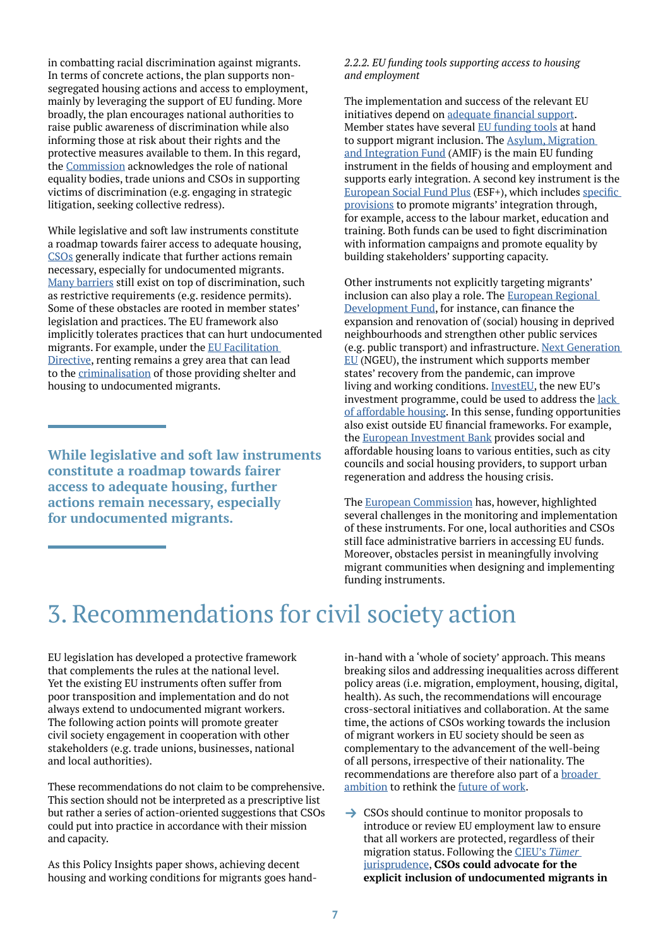in combatting racial discrimination against migrants. In terms of concrete actions, the plan supports nonsegregated housing actions and access to employment, mainly by leveraging the support of EU funding. More broadly, the plan encourages national authorities to raise public awareness of discrimination while also informing those at risk about their rights and the protective measures available to them. In this regard, the [Commission](https://eur-lex.europa.eu/legal-content/EN/ALL/?uri=COM:2021:139:FIN) acknowledges the role of national equality bodies, trade unions and CSOs in supporting victims of discrimination (e.g. engaging in strategic litigation, seeking collective redress).

While legislative and soft law instruments constitute a roadmap towards fairer access to adequate housing, [CSOs](https://picum.org/focus-area/housing/) generally indicate that further actions remain necessary, especially for undocumented migrants. [Many barriers](https://includeu.eu/first-includ-eus-briefing-housing/) still exist on top of discrimination, such as restrictive requirements (e.g. residence permits). Some of these obstacles are rooted in member states' legislation and practices. The EU framework also implicitly tolerates practices that can hurt undocumented migrants. For example, under the [EU Facilitation](https://eur-lex.europa.eu/legal-content/EN/ALL/?uri=celex%3A32002L0090)  [Directive,](https://eur-lex.europa.eu/legal-content/EN/ALL/?uri=celex%3A32002L0090) renting remains a grey area that can lead to the [criminalisation](https://fra.europa.eu/en/publication/2014/criminalisation-migrants-irregular-situation-and-persons-engaging-them) of those providing shelter and housing to undocumented migrants.

**While legislative and soft law instruments constitute a roadmap towards fairer access to adequate housing, further actions remain necessary, especially for undocumented migrants.**

#### *2.2.2. EU funding tools supporting access to housing and employment*

The implementation and success of the relevant EU initiatives depend on [adequate financial support](https://www.epc.eu/en/publications/Rethinking-EU-economic-governance-Social-investment~44b7cc). Member states have several [EU funding tools](https://op.europa.eu/en/publication-detail/-/publication/55dffdce-5d5c-11ec-9c6c-01aa75ed71a1/language-en/format-PDF/source-245933748) at hand to support migrant inclusion. The [Asylum, Migration](https://eur-lex.europa.eu/legal-content/EN/TXT/?uri=CELEX%3A32021R1147)  [and Integration Fund](https://eur-lex.europa.eu/legal-content/EN/TXT/?uri=CELEX%3A32021R1147) (AMIF) is the main EU funding instrument in the fields of housing and employment and supports early integration. A second key instrument is the [European Social Fund Plus](https://eur-lex.europa.eu/legal-content/en/TXT/?uri=CELEX:52018PC0382) (ESF+), which includes [specific](https://cor.europa.eu/en/events/Documents/CIVEX/Supporting-EU-cities-regions-by-funding-inclusive-communities-new-MFF/Marianne%20DOYEN%20-%20European%20Social%20Fund%20Plus%20(ESF+).pdf)  [provisions](https://cor.europa.eu/en/events/Documents/CIVEX/Supporting-EU-cities-regions-by-funding-inclusive-communities-new-MFF/Marianne%20DOYEN%20-%20European%20Social%20Fund%20Plus%20(ESF+).pdf) to promote migrants' integration through, for example, access to the labour market, education and training. Both funds can be used to fight discrimination with information campaigns and promote equality by building stakeholders' supporting capacity.

Other instruments not explicitly targeting migrants' inclusion can also play a role. The [European Regional](https://eur-lex.europa.eu/legal-content/en/ALL/?uri=CELEX%3A32013R1301)  [Development Fund](https://eur-lex.europa.eu/legal-content/en/ALL/?uri=CELEX%3A32013R1301), for instance, can finance the expansion and renovation of (social) housing in deprived neighbourhoods and strengthen other public services (e.g. public transport) and infrastructure. [Next Generation](https://ec.europa.eu/info/strategy/recovery-plan-europe_en)  [EU](https://ec.europa.eu/info/strategy/recovery-plan-europe_en) (NGEU), the instrument which supports member states' recovery from the pandemic, can improve living and working conditions. [InvestEU,](https://europa.eu/investeu/about-investeu_en) the new EU's investment programme, could be used to address the lack [of affordable housing](https://www.epc.eu/en/publications/Solving-the-affordable-housing-crisis-Turning-InvestEU-into-a-success~3bf59c). In this sense, funding opportunities also exist outside EU financial frameworks. For example, the [European Investment Bank](https://www.eib.org/en/publications/social-and-affordable-housing-with-the-eib) provides social and affordable housing loans to various entities, such as city councils and social housing providers, to support urban regeneration and address the housing crisis.

The [European Commission](https://op.europa.eu/en/publication-detail/-/publication/55dffdce-5d5c-11ec-9c6c-01aa75ed71a1/language-en/format-PDF/source-245933748) has, however, highlighted several challenges in the monitoring and implementation of these instruments. For one, local authorities and CSOs still face administrative barriers in accessing EU funds. Moreover, obstacles persist in meaningfully involving migrant communities when designing and implementing funding instruments.

# 3. Recommendations for civil society action

EU legislation has developed a protective framework that complements the rules at the national level. Yet the existing EU instruments often suffer from poor transposition and implementation and do not always extend to undocumented migrant workers. The following action points will promote greater civil society engagement in cooperation with other stakeholders (e.g. trade unions, businesses, national and local authorities).

These recommendations do not claim to be comprehensive. This section should not be interpreted as a prescriptive list but rather a series of action-oriented suggestions that CSOs could put into practice in accordance with their mission and capacity.

As this Policy Insights paper shows, achieving decent housing and working conditions for migrants goes handin-hand with a 'whole of society' approach. This means breaking silos and addressing inequalities across different policy areas (i.e. migration, employment, housing, digital, health). As such, the recommendations will encourage cross-sectoral initiatives and collaboration. At the same time, the actions of CSOs working towards the inclusion of migrant workers in EU society should be seen as complementary to the advancement of the well-being of all persons, irrespective of their nationality. The recommendations are therefore also part of a [broader](https://ec.europa.eu/info/research-and-innovation/research-area/industrial-research-and-innovation/future-work_en)  [ambition](https://ec.europa.eu/info/research-and-innovation/research-area/industrial-research-and-innovation/future-work_en) to rethink the [future of work](https://www.epc.eu/en/publications/The-future-of-work-Towards-a-progressive-agenda-for-all~2d8840).

 $\rightarrow$  CSOs should continue to monitor proposals to introduce or review EU employment law to ensure that all workers are protected, regardless of their migration status. Following the [CJEU's](http://eulawanalysis.blogspot.com/2014/11/irregular-migrants-and-eu-employment-law.html) *Tümer* [jurisprudence](http://eulawanalysis.blogspot.com/2014/11/irregular-migrants-and-eu-employment-law.html), **CSOs could advocate for the explicit inclusion of undocumented migrants in**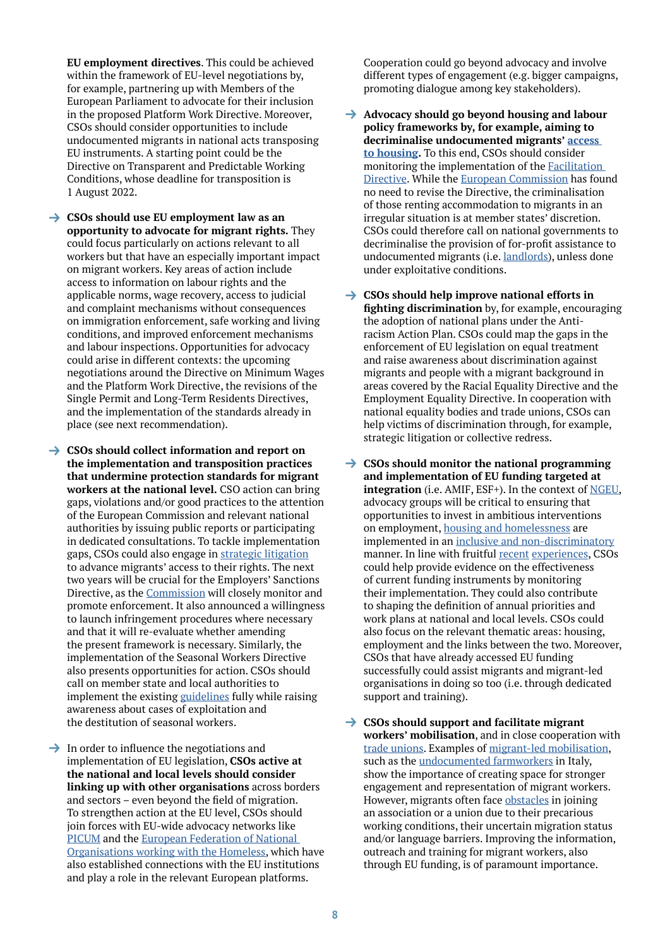**EU employment directives**. This could be achieved within the framework of EU-level negotiations by, for example, partnering up with Members of the European Parliament to advocate for their inclusion in the proposed Platform Work Directive. Moreover, CSOs should consider opportunities to include undocumented migrants in national acts transposing EU instruments. A starting point could be the Directive on Transparent and Predictable Working Conditions, whose deadline for transposition is 1 August 2022.

- **→ CSOs should use EU employment law as an opportunity to advocate for migrant rights.** They could focus particularly on actions relevant to all workers but that have an especially important impact on migrant workers. Key areas of action include access to information on labour rights and the applicable norms, wage recovery, access to judicial and complaint mechanisms without consequences on immigration enforcement, safe working and living conditions, and improved enforcement mechanisms and labour inspections. Opportunities for advocacy could arise in different contexts: the upcoming negotiations around the Directive on Minimum Wages and the Platform Work Directive, the revisions of the Single Permit and Long-Term Residents Directives, and the implementation of the standards already in place (see next recommendation).
- $\rightarrow$  **CSOs should collect information and report on the implementation and transposition practices that undermine protection standards for migrant workers at the national level.** CSO action can bring gaps, violations and/or good practices to the attention of the European Commission and relevant national authorities by issuing public reports or participating in dedicated consultations. To tackle implementation gaps, CSOs could also engage in [strategic litigation](https://www.hfhr.pl/wp-content/uploads/2019/02/broszura-TSUE-EN-web.pdf) to advance migrants' access to their rights. The next two years will be crucial for the Employers' Sanctions Directive, as the [Commission](https://ec.europa.eu/home-affairs/minimum-standards-sanctions-and-measures-against-employers-illegally-staying-third-country_en) will closely monitor and promote enforcement. It also announced a willingness to launch infringement procedures where necessary and that it will re-evaluate whether amending the present framework is necessary. Similarly, the implementation of the Seasonal Workers Directive also presents opportunities for action. CSOs should call on member state and local authorities to implement the existing [guidelines](https://eur-lex.europa.eu/legal-content/EN/TXT/?uri=CELEX:52020XC0717(04)) fully while raising awareness about cases of exploitation and the destitution of seasonal workers.

 $\rightarrow$  In order to influence the negotiations and implementation of EU legislation, **CSOs active at the national and local levels should consider linking up with other organisations** across borders and sectors – even beyond the field of migration. To strengthen action at the EU level, CSOs should join forces with EU-wide advocacy networks like [PICUM](https://picum.org/) and the [European Federation of National](https://www.feantsa.org/en)  [Organisations working with the Homeless](https://www.feantsa.org/en), which have also established connections with the EU institutions and play a role in the relevant European platforms.

Cooperation could go beyond advocacy and involve different types of engagement (e.g. bigger campaigns, promoting dialogue among key stakeholders).

- → Advocacy should go beyond housing and labour **policy frameworks by, for example, aiming to decriminalise undocumented migrants' [access](https://picum.org/focus-area/housing/)  [to housing.](https://picum.org/focus-area/housing/)** To this end, CSOs should consider monitoring the implementation of the [Facilitation](https://eur-lex.europa.eu/legal-content/EN/ALL/?uri=celex%3A32002L0090)  [Directive.](https://eur-lex.europa.eu/legal-content/EN/ALL/?uri=celex%3A32002L0090) While the [European Commission](https://eur-lex.europa.eu/legal-content/EN/TXT/HTML/?uri=CELEX:52020XC1001(01)&from=en) has found no need to revise the Directive, the criminalisation of those renting accommodation to migrants in an irregular situation is at member states' discretion. CSOs could therefore call on national governments to decriminalise the provision of for-profit assistance to undocumented migrants (i.e. [landlords](https://www.europarl.europa.eu/RegData/etudes/STUD/2016/536490/IPOL_STU(2016)536490_EN.pdf)), unless done under exploitative conditions.
- **→ CSOs should help improve national efforts in fighting discrimination** by, for example, encouraging the adoption of national plans under the Antiracism Action Plan. CSOs could map the gaps in the enforcement of EU legislation on equal treatment and raise awareness about discrimination against migrants and people with a migrant background in areas covered by the Racial Equality Directive and the Employment Equality Directive. In cooperation with national equality bodies and trade unions, CSOs can help victims of discrimination through, for example, strategic litigation or collective redress.
- **→ CSOs should monitor the national programming and implementation of EU funding targeted at integration** (i.e. AMIF, ESF+). In the context of [NGEU,](https://ec.europa.eu/info/strategy/recovery-plan-europe_en) advocacy groups will be critical to ensuring that opportunities to invest in ambitious interventions on employment, [housing and homelessness](https://www.feantsa.org/en/feantsa-position/2021/11/12/next-generation-eu-will-the-recovery-and-resilience-facility-help-address-homelessness-and-housing-exclusion-in-the-eu?bcParent=27) are implemented in an [inclusive and non-discriminatory](https://ecre.org/policy-note-ensuring-an-inclusive-recovery-for-all-ecre-and-picum-comments-on-the-next-generation-eu-package-and-react-eu/) manner. In line with fruitful [recent](https://ecre.org/follow-the-money-a-critical-analysis-of-the-implementation-of-the-eu-asylum-migration-integration-fund-amif/) [experiences,](https://ecre.org/follow-the-money-ii-report/) CSOs could help provide evidence on the effectiveness of current funding instruments by monitoring their implementation. They could also contribute to shaping the definition of annual priorities and work plans at national and local levels. CSOs could also focus on the relevant thematic areas: housing, employment and the links between the two. Moreover, CSOs that have already accessed EU funding successfully could assist migrants and migrant-led organisations in doing so too (i.e. through dedicated support and training).
- $\rightarrow$  **CSOs should support and facilitate migrant workers' mobilisation**, and in close cooperation with [trade unions](https://www.etui.org/topics/health-safety-working-conditions/hesamag/migrant-workers-in-fortress-europe/a-worker-is-a-worker-the-trade-unions-organising-migrants). Examples of [migrant-led mobilisation,](https://www.infomigrants.net/en/post/36119/hundreds-of-undocumented-workers-go-on-strike-in-france-to-demand-their-rights) such as the **undocumented farmworkers** in Italy, show the importance of creating space for stronger engagement and representation of migrant workers. However, migrants often face [obstacles](https://www.equaltimes.org/a-worker-is-a-worker-the-trade?lang=en#.YbnBLH3MLDI) in joining an association or a union due to their precarious working conditions, their uncertain migration status and/or language barriers. Improving the information, outreach and training for migrant workers, also through EU funding, is of paramount importance.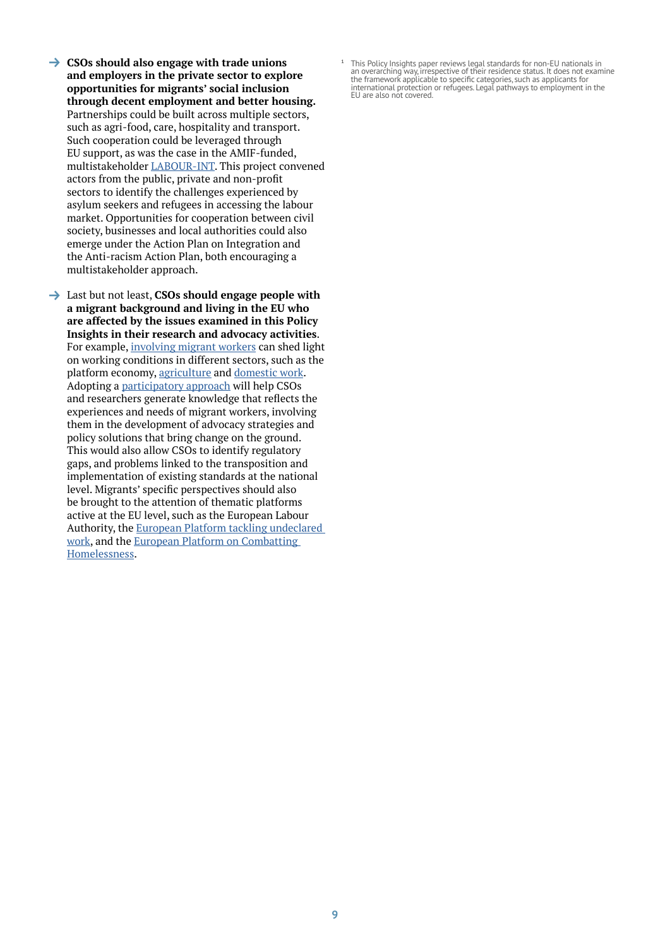- **→ CSOs should also engage with trade unions and employers in the private sector to explore opportunities for migrants' social inclusion through decent employment and better housing.** Partnerships could be built across multiple sectors, such as agri-food, care, hospitality and transport. Such cooperation could be leveraged through EU support, as was the case in the AMIF-funded, multistakeholder [LABOUR-INT](http://www.labour-int.eu/). This project convened actors from the public, private and non-profit sectors to identify the challenges experienced by asylum seekers and refugees in accessing the labour market. Opportunities for cooperation between civil society, businesses and local authorities could also emerge under the Action Plan on Integration and the Anti-racism Action Plan, both encouraging a multistakeholder approach.
- → Last but not least, **CSOs should engage people with a migrant background and living in the EU who are affected by the issues examined in this Policy Insights in their research and advocacy activities**. For example, [involving migrant workers](https://labourexploitation.org/news/flex%e2%80%99s-latest-report-highlights-systemic-issues-experienced-couriers-app-based-delivery-sector) can shed light on working conditions in different sectors, such as the platform economy, [agriculture](https://www.europarl.europa.eu/thinktank/en/document/EPRS_BRI(2021)689347) and [domestic work.](https://fra.europa.eu/en/publication/2012/migrants-irregular-situation-employed-domestic-work-fundamental-rights-challenges) Adopting a [participatory approach](https://labourexploitation.org/what-we-do/research-0) will help CSOs and researchers generate knowledge that reflects the experiences and needs of migrant workers, involving them in the development of advocacy strategies and policy solutions that bring change on the ground. This would also allow CSOs to identify regulatory gaps, and problems linked to the transposition and implementation of existing standards at the national level. Migrants' specific perspectives should also be brought to the attention of thematic platforms active at the EU level, such as the European Labour Authority, the [European Platform tackling undeclared](https://www.ela.europa.eu/en/undeclared-work)  [work](https://www.ela.europa.eu/en/undeclared-work), and the [European Platform on Combatting](https://ec.europa.eu/social/main.jsp?catId=89&furtherNews=yes&langId=en&newsId=10032)  [Homelessness](https://ec.europa.eu/social/main.jsp?catId=89&furtherNews=yes&langId=en&newsId=10032).

**<sup>1</sup>** This Policy Insights paper reviews legal standards for non-EU nationals in an overarching way, irrespective of their residence status. It does not examine the framework applicable to specific categories, such as applicants for international protection or refugees. Legal pathways to employment in the EU are also not covered.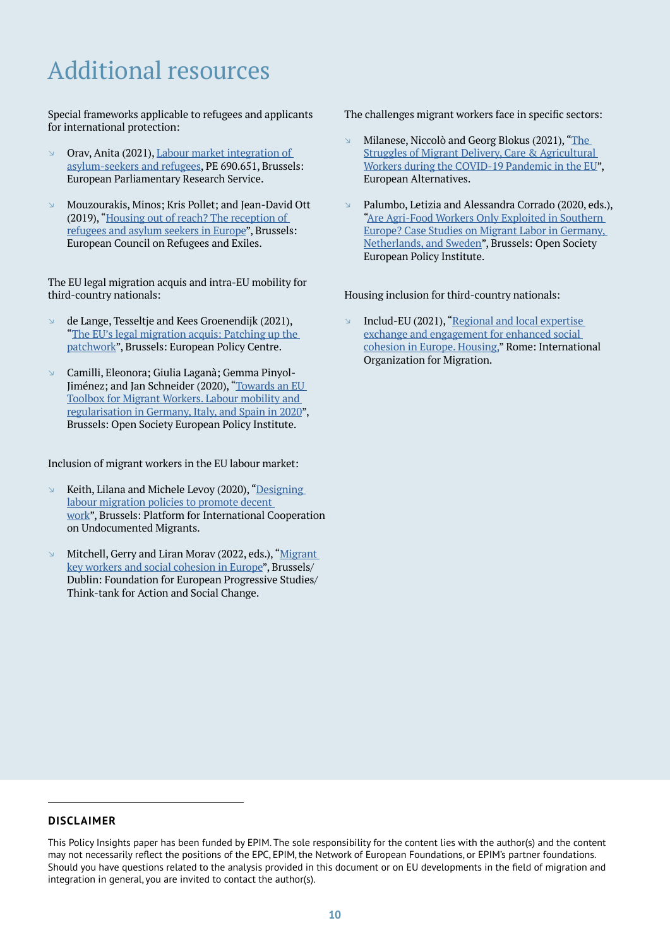# Additional resources

Special frameworks applicable to refugees and applicants for international protection:

- $\Box$  Orav, Anita (2021), Labour market integration of [asylum-seekers and refugees](https://www.europarl.europa.eu/thinktank/en/document/EPRS_BRI(2021)690651), PE 690.651, Brussels: European Parliamentary Research Service.
- $\textdegree$  Mouzourakis, Minos: Kris Pollet; and Jean-David Ott (2019), "[Housing out of reach? The reception of](https://reliefweb.int/report/world/housing-out-reach-reception-refugees-and-asylum-seekers-europe)  [refugees and asylum seekers in Europe"](https://reliefweb.int/report/world/housing-out-reach-reception-refugees-and-asylum-seekers-europe), Brussels: European Council on Refugees and Exiles.

The EU legal migration acquis and intra-EU mobility for third-country nationals:

- $\Box$  de Lange, Tesseltje and Kees Groenendijk (2021), "The EU's legal migration acquis: Patching up the [patchwork](https://www.epc.eu/en/publications/The-EUs-legal-migration-acquis-Patching-up-the-patchwork~3cad34#:~:text=The%20European%20Commission%20and%20EU,%2Dcountry%20nationals%20(TCNs).&text=In%20its%20proposal%20on%20the,out%20to%20do%20just%20that.)", Brussels: European Policy Centre.
- a Camilli, Eleonora; Giulia Laganà; Gemma Pinyol-Jiménez; and Jan Schneider (2020), "[Towards an EU](https://www.opensocietyfoundations.org/publications/towards-an-eu-toolbox-for-migrant-workers)  [Toolbox for Migrant Workers. Labour mobility and](https://www.opensocietyfoundations.org/publications/towards-an-eu-toolbox-for-migrant-workers)  [regularisation in Germany, Italy, and Spain in 2020](https://www.opensocietyfoundations.org/publications/towards-an-eu-toolbox-for-migrant-workers)", Brussels: Open Society European Policy Institute.

Inclusion of migrant workers in the EU labour market:

- $\triangleright$  Keith, Lilana and Michele Levoy (2020), "Designing [labour migration policies to promote decent](https://picum.org/labour-migration-policies-in-europe-challenges-and-ways-forward/)  [work"](https://picum.org/labour-migration-policies-in-europe-challenges-and-ways-forward/), Brussels: Platform for International Cooperation on Undocumented Migrants.
- Mitchell, Gerry and Liran Morav (2022, eds.), "Migrant [key workers and social cohesion in Europe](https://www.feps-europe.eu/events/upcoming-events/826-migrant-key-workers-and-social-cohesion-in-europe.html)", Brussels/ Dublin: Foundation for European Progressive Studies/ Think-tank for Action and Social Change.

The challenges migrant workers face in specific sectors:

- Milanese, Niccolò and Georg Blokus (2021), "The [Struggles of Migrant Delivery, Care & Agricultural](https://euroalter.com/wp-content/uploads/2021/07/report_issue-2_workers-without-borders_ea.pdf)  [Workers during the COVID-19 Pandemic in the EU"](https://euroalter.com/wp-content/uploads/2021/07/report_issue-2_workers-without-borders_ea.pdf), European Alternatives.
- a Palumbo, Letizia and Alessandra Corrado (2020, eds.), ["Are Agri-Food Workers Only Exploited in Southern](https://www.opensocietyfoundations.org/publications/are-agri-food-workers-only-exploited-in-southern-europe)  [Europe? Case Studies on Migrant Labor in Germany,](https://www.opensocietyfoundations.org/publications/are-agri-food-workers-only-exploited-in-southern-europe)  [Netherlands, and Sweden](https://www.opensocietyfoundations.org/publications/are-agri-food-workers-only-exploited-in-southern-europe)", Brussels: Open Society European Policy Institute.

Housing inclusion for third-country nationals:

Includ-EU (2021), "Regional and local expertise [exchange and engagement for enhanced social](https://includeu.eu/first-includ-eus-briefing-housing/)  [cohesion in Europe. Housing](https://includeu.eu/first-includ-eus-briefing-housing/)," Rome: International Organization for Migration.

### **DISCLAIMER**

This Policy Insights paper has been funded by EPIM. The sole responsibility for the content lies with the author(s) and the content may not necessarily reflect the positions of the EPC, EPIM, the Network of European Foundations, or EPIM's partner foundations. Should you have questions related to the analysis provided in this document or on EU developments in the field of migration and integration in general, you are invited to contact the author(s).